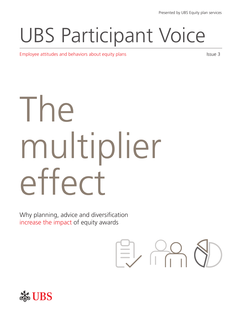## UBS Participant Voice

Employee attitudes and behaviors about equity plans Issue 3

# The multiplier effect

Why planning, advice and diversification increase the impact of equity awards



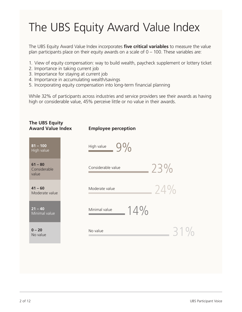## The UBS Equity Award Value Index

The UBS Equity Award Value Index incorporates **five critical variables** to measure the value plan participants place on their equity awards on a scale of 0 – 100. These variables are:

- 1. View of equity compensation: way to build wealth, paycheck supplement or lottery ticket
- 2. Importance in taking current job
- 3. Importance for staying at current job
- 4. Importance in accumulating wealth/savings
- 5. Incorporating equity compensation into long-term financial planning

While 32% of participants across industries and service providers see their awards as having high or considerable value, 45% perceive little or no value in their awards.

| The UBS Equity<br><b>Award Value Index</b> | <b>Employee perception</b> |     |
|--------------------------------------------|----------------------------|-----|
| $\overline{81} - 100$<br>High value        | $9\%$<br>High value        |     |
| $61 - 80$<br>Considerable<br>value         | Considerable value         | 23% |
| $41 - 60$<br>Moderate value                | Moderate value             | 24% |
| $21 - 40$<br>Minimal value                 | 14%<br>Minimal value       |     |
| $0 - 20$<br>No value                       | No value                   | 31% |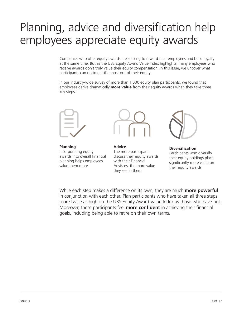## Planning, advice and diversification help employees appreciate equity awards

Companies who offer equity awards are seeking to reward their employees and build loyalty at the same time. But as the UBS Equity Award Value Index highlights, many employees who receive awards don't truly value their equity compensation. In this issue, we uncover what participants can do to get the most out of their equity.

In our industry-wide survey of more than 1,000 equity plan participants, we found that employees derive dramatically **more value** from their equity awards when they take three key steps:



**Planning** Incorporating equity awards into overall financial planning helps employees value them more



**Advice** The more participants discuss their equity awards with their Financial Advisors, the more value they see in them



**Diversification** Participants who diversify their equity holdings place significantly more value on their equity awards

While each step makes a difference on its own, they are much **more powerful**  in conjunction with each other. Plan participants who have taken all three steps score twice as high on the UBS Equity Award Value Index as those who have not. Moreover, these participants feel **more confident** in achieving their financial goals, including being able to retire on their own terms.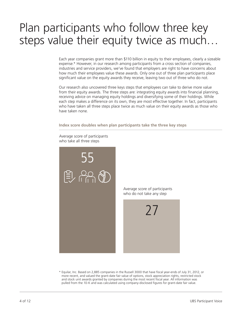## Plan participants who follow three key steps value their equity twice as much…

Each year companies grant more than \$110 billion in equity to their employees, clearly a sizeable expense.\* However, in our research among participants from a cross section of companies, industries and service providers, we've found that employers are right to have concerns about how much their employees value these awards. Only one out of three plan participants place significant value on the equity awards they receive, leaving two out of three who do not.

Our research also uncovered three keys steps that employees can take to derive more value from their equity awards. The three steps are: integrating equity awards into financial planning, receiving advice on managing equity holdings and diversifying some of their holdings. While each step makes a difference on its own, they are most effective together. In fact, participants who have taken all three steps place twice as much value on their equity awards as those who have taken none.

**Index score doubles when plan participants take the three key steps**



Average score of participants

\* Equilar, Inc. Based on 2,885 companies in the Russell 3000 that have fiscal year-ends of July 31, 2012, or more recent, and valued the grant-date fair value of options, stock appreciation rights, restricted stock and stock unit awards granted by companies during the most recent fiscal year. All information was pulled from the 10-K and was calculated using company-disclosed figures for grant-date fair value.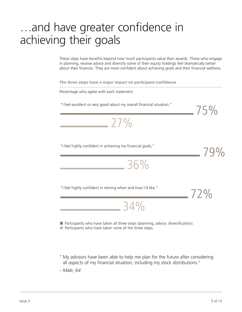## …and have greater confidence in achieving their goals

These steps have benefits beyond how much participants value their awards. Those who engage in planning, receive advice and diversify some of their equity holdings feel dramatically better about their finances. They are more confident about achieving goals and their financial wellness.

**The three steps have a major impact on participant confidence**

Percentage who agree with each statement.

"I feel excellent or very good about my overall financial situation."

27%

"I feel highly confident in achieving my financial goals."

79% 36% 72% 34% "I feel highly confident in retiring when and how I'd like."

**Participants who have taken all three steps (planning, advice, diversification).**  $\blacksquare$  Participants who have taken none of the three steps.

" My advisors have been able to help me plan for the future after considering all aspects of my financial situation, including my stock distributions."

– *Male, 64*

75%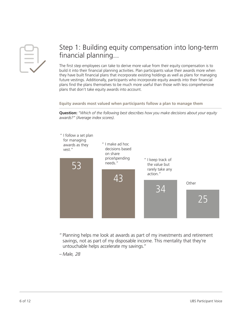#### Step 1: Building equity compensation into long-term financial planning...

The first step employees can take to derive more value from their equity compensation is to build it into their financial planning activities. Plan participants value their awards more when they have built financial plans that incorporate existing holdings as well as plans for managing future vestings. Additionally, participants who incorporate equity awards into their financial plans find the plans themselves to be much more useful than those with less comprehensive plans that don't take equity awards into account.

**Equity awards most valued when participants follow a plan to manage them**

**Question:** *"Which of the following best describes how you make decisions about your equity awards?" (Average index scores).*



- " Planning helps me look at awards as part of my investments and retirement savings, not as part of my disposable income. This mentality that they're untouchable helps accelerate my savings."
- *Male, 28*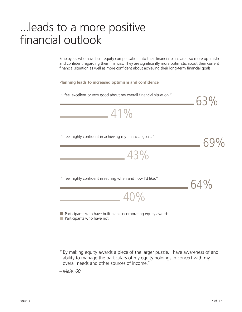## ...leads to a more positive financial outlook

Employees who have built equity compensation into their financial plans are also more optimistic and confident regarding their finances. They are significantly more optimistic about their current financial situation as well as more confident about achieving their long-term financial goals.

**Planning leads to increased optimism and confidence**



" By making equity awards a piece of the larger puzzle, I have awareness of and ability to manage the particulars of my equity holdings in concert with my overall needs and other sources of income."

– *Male, 60*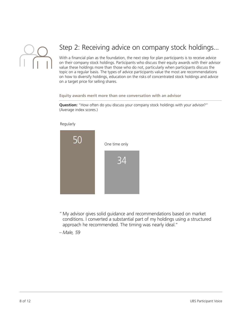

#### Step 2: Receiving advice on company stock holdings...

With a financial plan as the foundation, the next step for plan participants is to receive advice on their company stock holdings. Participants who discuss their equity awards with their advisor value these holdings more than those who do not, particularly when participants discuss the topic on a regular basis. The types of advice participants value the most are recommendations on how to diversify holdings, education on the risks of concentrated stock holdings and advice on a target price for selling shares.

#### **Equity awards merit more than one conversation with an advisor**

**Question:** "How often do you discuss your company stock holdings with your advisor?" (Average index scores.)



Regularly

" My advisor gives solid guidance and recommendations based on market conditions. I converted a substantial part of my holdings using a structured approach he recommended. The timing was nearly ideal."

– *Male, 59*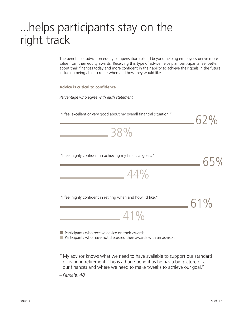## ...helps participants stay on the right track

The benefits of advice on equity compensation extend beyond helping employees derive more value from their equity awards. Receiving this type of advice helps plan participants feel better about their finances today and more confident in their ability to achieve their goals in the future, including being able to retire when and how they would like.

| <b>Advice is critical to confidence</b>                                                                                                                                                                                                            |     |  |  |
|----------------------------------------------------------------------------------------------------------------------------------------------------------------------------------------------------------------------------------------------------|-----|--|--|
| Percentage who agree with each statement.                                                                                                                                                                                                          |     |  |  |
| "I feel excellent or very good about my overall financial situation."                                                                                                                                                                              | 62% |  |  |
| 38%                                                                                                                                                                                                                                                |     |  |  |
| "I feel highly confident in achieving my financial goals."                                                                                                                                                                                         | 65% |  |  |
| 44%                                                                                                                                                                                                                                                |     |  |  |
| "I feel highly confident in retiring when and how I'd like."<br>41%                                                                                                                                                                                | 61% |  |  |
| Participants who receive advice on their awards.<br>Participants who have not discussed their awards with an advisor.                                                                                                                              |     |  |  |
| " My advisor knows what we need to have available to support our standard<br>of living in retirement. This is a huge benefit as he has a big picture of all<br>our finances and where we need to make tweaks to achieve our goal."<br>– Female, 48 |     |  |  |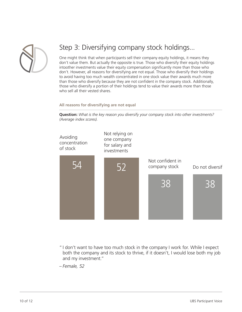

#### Step 3: Diversifying company stock holdings...

One might think that when participants sell their company equity holdings, it means they don't value them. But actually the opposite is true. Those who diversify their equity holdings intoother investments value their equity compensation significantly more than those who don't. However, all reasons for diversifying are not equal. Those who diversify their holdings to avoid having too much wealth concentrated in one stock value their awards much more than those who diversify because they are not confident in the company stock. Additionally, those who diversify a portion of their holdings tend to value their awards more than those who sell all their vested shares.

#### **All reasons for diversifying are not equal**

**Question:** *What is the key reason you diversify your company stock into other investments? (Average index scores).*



" I don't want to have too much stock in the company I work for. While I expect both the company and its stock to thrive, if it doesn't, I would lose both my job and my investment."

– *Female, 52*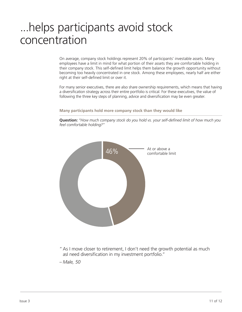## ...helps participants avoid stock concentration

On average, company stock holdings represent 20% of participants' investable assets. Many employees have a limit in mind for what portion of their assets they are comfortable holding in their company stock. This self-defined limit helps them balance the growth opportunity without becoming too heavily concentrated in one stock. Among these employees, nearly half are either right at their self-defined limit or over it.

For many senior executives, there are also share ownership requirements, which means that having a diversification strategy across their entire portfolio is critical. For these executives, the value of following the three key steps of planning, advice and diversification may be even greater.

**Many participants hold more company stock than they would like**

**Question:** *"How much company stock do you hold vs. your self-defined limit of how much you feel comfortable holding?"*



"As I move closer to retirement, I don't need the growth potential as much asI need diversification in my investment portfolio."

– *Male, 50*